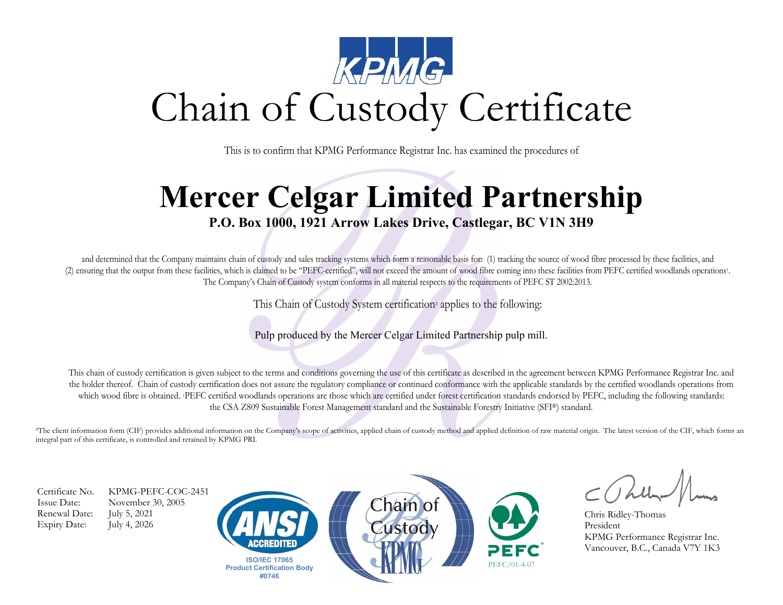

This is to confirm that KPMG Performance Registrar Inc. has examined the procedures of

## **Mercer Celgar Limited Partnership**

## **P.O. Box 1000, 1921 Arrow Lakes Drive, Castlegar, BC V1N 3H9**

and determined that the Company maintains chain of custody and sales tracking systems which form a reasonable basis for: (1) tracking the source of wood fibre processed by these facilities, and (2) ensuring that the output from these facilities, which is claimed to be "PEFC-certified", will not exceed the amount of wood fibre coming into these facilities from PEFC certified woodlands operations1. The Company's Chain of Custody system conforms in all material respects to the requirements of PEFC ST 2002:2013.

This Chain of Custody System certification² applies to the following:

Pulp produced by the Mercer Celgar Limited Partnership pulp mill.

This chain of custody certification is given subject to the terms and conditions governing the use of this certificate as described in the agreement between KPMG Performance Registrar Inc. and the holder thereof. Chain of custody certification does not assure the regulatory compliance or continued conformance with the applicable standards by the certified woodlands operations from which wood fibre is obtained. PEFC certified woodlands operations are those which are certified under forest certification standards endorsed by PEFC, including the following standards: the CSA Z809 Sustainable Forest Management standard and the Sustainable Forestry Initiative (SFI®) standard.

<sup>2</sup>The client information form (CIF) provides additional information on the Company's scope of activities, applied chain of custody method and applied definition of raw material origin. The latest version of the CIF, which integral part of this certificate, is controlled and retained by KPMG PRI.

Renewal Date: July 5, 2021 Expiry Date: July 4, 2026

Certificate No. KPMG-PEFC-COC-2451 Issue Date: November 30, 2005







Chris Ridley-Thomas President KPMG Performance Registrar Inc. Vancouver, B.C., Canada V7Y 1K3